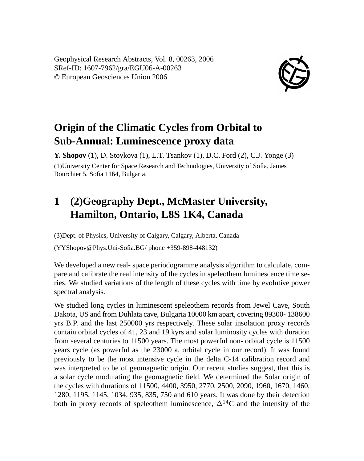Geophysical Research Abstracts, Vol. 8, 00263, 2006 SRef-ID: 1607-7962/gra/EGU06-A-00263 © European Geosciences Union 2006



## **Origin of the Climatic Cycles from Orbital to Sub-Annual: Luminescence proxy data**

**Y. Shopov** (1), D. Stoykova (1), L.T. Tsankov (1), D.C. Ford (2), C.J. Yonge (3) (1)University Center for Space Research and Technologies, University of Sofia, James Bourchier 5, Sofia 1164, Bulgaria.

## **1 (2)Geography Dept., McMaster University, Hamilton, Ontario, L8S 1K4, Canada**

(3)Dept. of Physics, University of Calgary, Calgary, Alberta, Canada

(YYShopov@Phys.Uni-Sofia.BG/ phone +359-898-448132)

We developed a new real- space periodogramme analysis algorithm to calculate, compare and calibrate the real intensity of the cycles in speleothem luminescence time series. We studied variations of the length of these cycles with time by evolutive power spectral analysis.

We studied long cycles in luminescent speleothem records from Jewel Cave, South Dakota, US and from Duhlata cave, Bulgaria 10000 km apart, covering 89300- 138600 yrs B.P. and the last 250000 yrs respectively. These solar insolation proxy records contain orbital cycles of 41, 23 and 19 kyrs and solar luminosity cycles with duration from several centuries to 11500 years. The most powerful non- orbital cycle is 11500 years cycle (as powerful as the 23000 a. orbital cycle in our record). It was found previously to be the most intensive cycle in the delta C-14 calibration record and was interpreted to be of geomagnetic origin. Our recent studies suggest, that this is a solar cycle modulating the geomagnetic field. We determined the Solar origin of the cycles with durations of 11500, 4400, 3950, 2770, 2500, 2090, 1960, 1670, 1460, 1280, 1195, 1145, 1034, 935, 835, 750 and 610 years. It was done by their detection both in proxy records of speleothem luminescence,  $\Delta^{14}$ C and the intensity of the